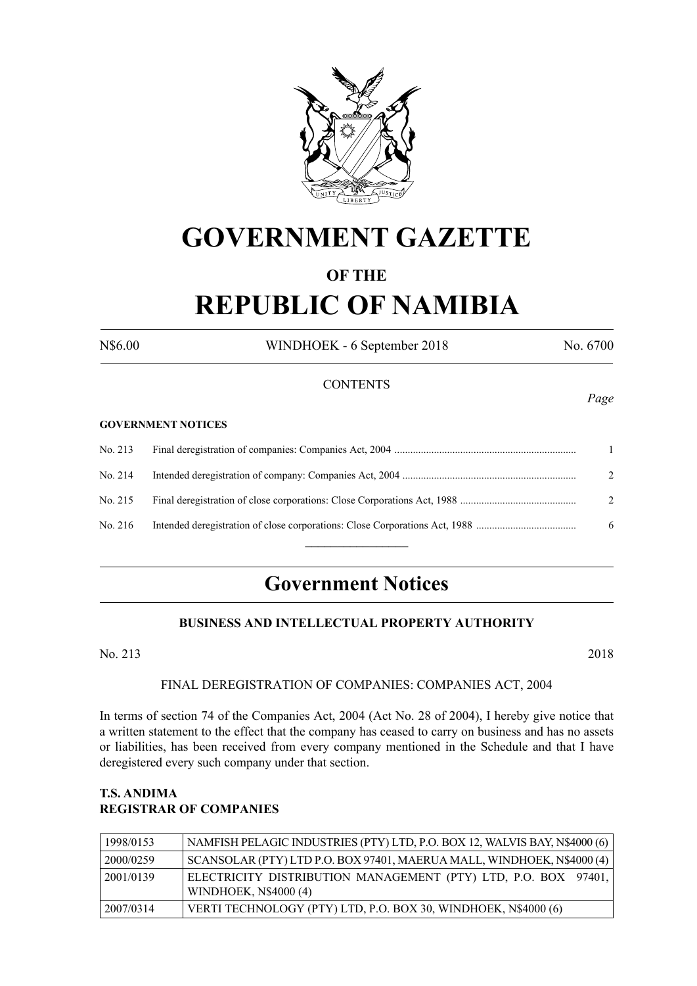

# **GOVERNMENT GAZETTE**

# **OF THE**

# **REPUBLIC OF NAMIBIA**

N\$6.00 WINDHOEK - 6 September 2018 No. 6700

#### **CONTENTS**

#### **GOVERNMENT NOTICES**

| No. 214 | $\mathcal{L}$ |
|---------|---------------|
| No. 215 | $2^{1}$       |
| No. 216 | 6             |
|         |               |

# **Government Notices**

## **BUSINESS AND INTELLECTUAL PROPERTY AUTHORITY**

No. 213 2018

#### FINAL DEREGISTRATION OF COMPANIES: COMPANIES ACT, 2004

In terms of section 74 of the Companies Act, 2004 (Act No. 28 of 2004), I hereby give notice that a written statement to the effect that the company has ceased to carry on business and has no assets or liabilities, has been received from every company mentioned in the Schedule and that I have deregistered every such company under that section.

#### **T.S. ANDIMA REGISTRAR OF COMPANIES**

| 1998/0153 | NAMFISH PELAGIC INDUSTRIES (PTY) LTD, P.O. BOX 12, WALVIS BAY, N\$4000 (6)                     |
|-----------|------------------------------------------------------------------------------------------------|
| 2000/0259 | SCANSOLAR (PTY) LTD P.O. BOX 97401, MAERUA MALL, WINDHOEK, N\$4000 (4)                         |
| 2001/0139 | ELECTRICITY DISTRIBUTION MANAGEMENT (PTY) LTD, P.O. BOX 97401,<br><b>WINDHOEK, N\$4000 (4)</b> |
| 2007/0314 | VERTI TECHNOLOGY (PTY) LTD, P.O. BOX 30, WINDHOEK, N\$4000 (6)                                 |

*Page*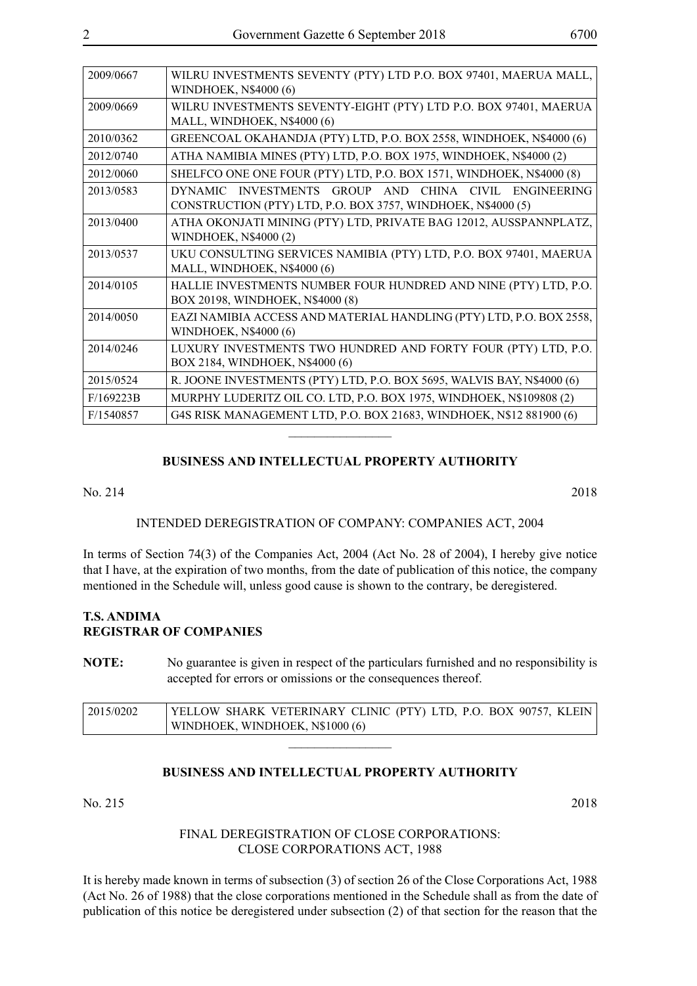| 2009/0667 | WILRU INVESTMENTS SEVENTY (PTY) LTD P.O. BOX 97401, MAERUA MALL,<br>WINDHOEK, N\$4000 (6)                             |
|-----------|-----------------------------------------------------------------------------------------------------------------------|
| 2009/0669 | WILRU INVESTMENTS SEVENTY-EIGHT (PTY) LTD P.O. BOX 97401, MAERUA<br>MALL, WINDHOEK, N\$4000 (6)                       |
| 2010/0362 | GREENCOAL OKAHANDJA (PTY) LTD, P.O. BOX 2558, WINDHOEK, N\$4000 (6)                                                   |
| 2012/0740 | ATHA NAMIBIA MINES (PTY) LTD, P.O. BOX 1975, WINDHOEK, N\$4000 (2)                                                    |
| 2012/0060 | SHELFCO ONE ONE FOUR (PTY) LTD, P.O. BOX 1571, WINDHOEK, N\$4000 (8)                                                  |
| 2013/0583 | DYNAMIC INVESTMENTS GROUP AND CHINA CIVIL ENGINEERING<br>CONSTRUCTION (PTY) LTD, P.O. BOX 3757, WINDHOEK, N\$4000 (5) |
| 2013/0400 | ATHA OKONJATI MINING (PTY) LTD, PRIVATE BAG 12012, AUSSPANNPLATZ,<br><b>WINDHOEK, N\$4000 (2)</b>                     |
| 2013/0537 | UKU CONSULTING SERVICES NAMIBIA (PTY) LTD, P.O. BOX 97401, MAERUA<br>MALL, WINDHOEK, N\$4000 (6)                      |
| 2014/0105 | HALLIE INVESTMENTS NUMBER FOUR HUNDRED AND NINE (PTY) LTD, P.O.<br>BOX 20198, WINDHOEK, N\$4000 (8)                   |
| 2014/0050 | EAZI NAMIBIA ACCESS AND MATERIAL HANDLING (PTY) LTD, P.O. BOX 2558,<br>WINDHOEK, N\$4000 (6)                          |
| 2014/0246 | LUXURY INVESTMENTS TWO HUNDRED AND FORTY FOUR (PTY) LTD, P.O.<br>BOX 2184, WINDHOEK, N\$4000 (6)                      |
| 2015/0524 | R. JOONE INVESTMENTS (PTY) LTD, P.O. BOX 5695, WALVIS BAY, N\$4000 (6)                                                |
| F/169223B | MURPHY LUDERITZ OIL CO. LTD, P.O. BOX 1975, WINDHOEK, N\$109808 (2)                                                   |
| F/1540857 | G4S RISK MANAGEMENT LTD, P.O. BOX 21683, WINDHOEK, N\$12 881900 (6)                                                   |

#### **BUSINESS AND INTELLECTUAL PROPERTY AUTHORITY**

 $\overline{\phantom{a}}$  , where  $\overline{\phantom{a}}$ 

No. 214 2018

#### INTENDED DEREGISTRATION OF COMPANY: COMPANIES ACT, 2004

In terms of Section 74(3) of the Companies Act, 2004 (Act No. 28 of 2004), I hereby give notice that I have, at the expiration of two months, from the date of publication of this notice, the company mentioned in the Schedule will, unless good cause is shown to the contrary, be deregistered.

#### **T.S. ANDIMA REGISTRAR OF COMPANIES**

**NOTE:** No guarantee is given in respect of the particulars furnished and no responsibility is accepted for errors or omissions or the consequences thereof.

| $\frac{12015}{0202}$ | YELLOW SHARK VETERINARY CLINIC (PTY) LTD, P.O. BOX 90757, KLEIN<br>WINDHOEK, WINDHOEK, N\$1000 (6) |
|----------------------|----------------------------------------------------------------------------------------------------|
|                      |                                                                                                    |

#### **BUSINESS AND INTELLECTUAL PROPERTY AUTHORITY**

No. 215 2018

#### FINAL DEREGISTRATION OF CLOSE CORPORATIONS: CLOSE CORPORATIONS ACT, 1988

It is hereby made known in terms of subsection (3) of section 26 of the Close Corporations Act, 1988 (Act No. 26 of 1988) that the close corporations mentioned in the Schedule shall as from the date of publication of this notice be deregistered under subsection (2) of that section for the reason that the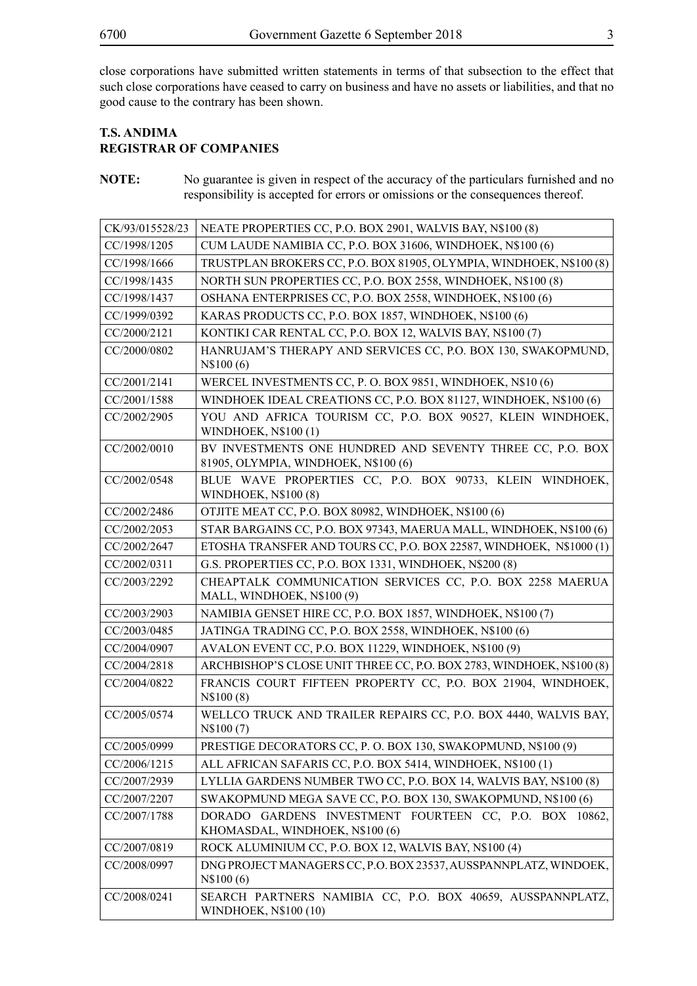close corporations have submitted written statements in terms of that subsection to the effect that such close corporations have ceased to carry on business and have no assets or liabilities, and that no good cause to the contrary has been shown.

# **T.S. ANDIMA REGISTRAR OF COMPANIES**

**NOTE:** No guarantee is given in respect of the accuracy of the particulars furnished and no responsibility is accepted for errors or omissions or the consequences thereof.

| CK/93/015528/23 | NEATE PROPERTIES CC, P.O. BOX 2901, WALVIS BAY, N\$100 (8)                                        |  |  |
|-----------------|---------------------------------------------------------------------------------------------------|--|--|
| CC/1998/1205    | CUM LAUDE NAMIBIA CC, P.O. BOX 31606, WINDHOEK, N\$100 (6)                                        |  |  |
| CC/1998/1666    | TRUSTPLAN BROKERS CC, P.O. BOX 81905, OLYMPIA, WINDHOEK, N\$100 (8)                               |  |  |
| CC/1998/1435    | NORTH SUN PROPERTIES CC, P.O. BOX 2558, WINDHOEK, N\$100 (8)                                      |  |  |
| CC/1998/1437    | OSHANA ENTERPRISES CC, P.O. BOX 2558, WINDHOEK, N\$100 (6)                                        |  |  |
| CC/1999/0392    | KARAS PRODUCTS CC, P.O. BOX 1857, WINDHOEK, N\$100 (6)                                            |  |  |
| CC/2000/2121    | KONTIKI CAR RENTAL CC, P.O. BOX 12, WALVIS BAY, N\$100 (7)                                        |  |  |
| CC/2000/0802    | HANRUJAM'S THERAPY AND SERVICES CC, P.O. BOX 130, SWAKOPMUND,<br>N\$100(6)                        |  |  |
| CC/2001/2141    | WERCEL INVESTMENTS CC, P. O. BOX 9851, WINDHOEK, N\$10 (6)                                        |  |  |
| CC/2001/1588    | WINDHOEK IDEAL CREATIONS CC, P.O. BOX 81127, WINDHOEK, N\$100 (6)                                 |  |  |
| CC/2002/2905    | YOU AND AFRICA TOURISM CC, P.O. BOX 90527, KLEIN WINDHOEK,<br>WINDHOEK, N\$100 (1)                |  |  |
| CC/2002/0010    | BV INVESTMENTS ONE HUNDRED AND SEVENTY THREE CC, P.O. BOX<br>81905, OLYMPIA, WINDHOEK, N\$100 (6) |  |  |
| CC/2002/0548    | BLUE WAVE PROPERTIES CC, P.O. BOX 90733, KLEIN WINDHOEK,<br>WINDHOEK, N\$100 (8)                  |  |  |
| CC/2002/2486    | OTJITE MEAT CC, P.O. BOX 80982, WINDHOEK, N\$100 (6)                                              |  |  |
| CC/2002/2053    | STAR BARGAINS CC, P.O. BOX 97343, MAERUA MALL, WINDHOEK, N\$100 (6)                               |  |  |
| CC/2002/2647    | ETOSHA TRANSFER AND TOURS CC, P.O. BOX 22587, WINDHOEK, N\$1000 (1)                               |  |  |
| CC/2002/0311    | G.S. PROPERTIES CC, P.O. BOX 1331, WINDHOEK, N\$200 (8)                                           |  |  |
| CC/2003/2292    | CHEAPTALK COMMUNICATION SERVICES CC, P.O. BOX 2258 MAERUA<br>MALL, WINDHOEK, N\$100 (9)           |  |  |
| CC/2003/2903    | NAMIBIA GENSET HIRE CC, P.O. BOX 1857, WINDHOEK, N\$100 (7)                                       |  |  |
| CC/2003/0485    | JATINGA TRADING CC, P.O. BOX 2558, WINDHOEK, N\$100 (6)                                           |  |  |
| CC/2004/0907    | AVALON EVENT CC, P.O. BOX 11229, WINDHOEK, N\$100 (9)                                             |  |  |
| CC/2004/2818    | ARCHBISHOP'S CLOSE UNIT THREE CC, P.O. BOX 2783, WINDHOEK, N\$100 (8)                             |  |  |
| CC/2004/0822    | FRANCIS COURT FIFTEEN PROPERTY CC, P.O. BOX 21904, WINDHOEK,<br>N\$100(8)                         |  |  |
| CC/2005/0574    | WELLCO TRUCK AND TRAILER REPAIRS CC, P.O. BOX 4440, WALVIS BAY,<br>N\$100(7)                      |  |  |
| CC/2005/0999    | PRESTIGE DECORATORS CC, P. O. BOX 130, SWAKOPMUND, N\$100 (9)                                     |  |  |
| CC/2006/1215    | ALL AFRICAN SAFARIS CC, P.O. BOX 5414, WINDHOEK, N\$100 (1)                                       |  |  |
| CC/2007/2939    | LYLLIA GARDENS NUMBER TWO CC, P.O. BOX 14, WALVIS BAY, N\$100 (8)                                 |  |  |
| CC/2007/2207    | SWAKOPMUND MEGA SAVE CC, P.O. BOX 130, SWAKOPMUND, N\$100 (6)                                     |  |  |
| CC/2007/1788    | DORADO GARDENS INVESTMENT FOURTEEN CC, P.O. BOX 10862,<br>KHOMASDAL, WINDHOEK, N\$100 (6)         |  |  |
| CC/2007/0819    | ROCK ALUMINIUM CC, P.O. BOX 12, WALVIS BAY, N\$100 (4)                                            |  |  |
| CC/2008/0997    | DNG PROJECT MANAGERS CC, P.O. BOX 23537, AUSSPANNPLATZ, WINDOEK,<br>N\$100(6)                     |  |  |
| CC/2008/0241    | SEARCH PARTNERS NAMIBIA CC, P.O. BOX 40659, AUSSPANNPLATZ,<br><b>WINDHOEK, N\$100 (10)</b>        |  |  |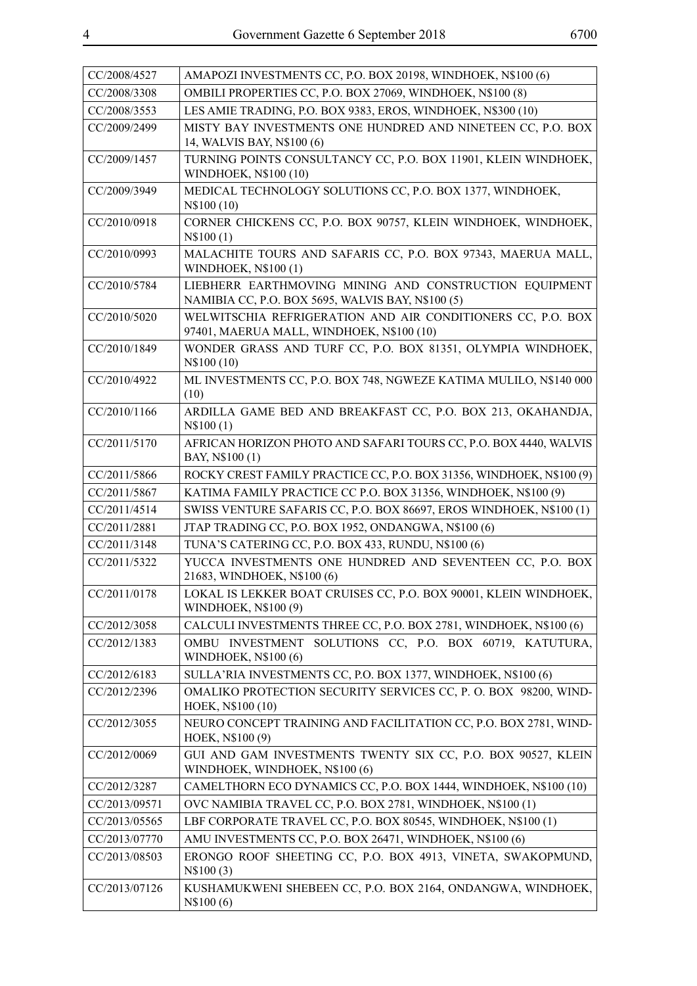| CC/2008/4527  | AMAPOZI INVESTMENTS CC, P.O. BOX 20198, WINDHOEK, N\$100 (6)                                                |  |  |
|---------------|-------------------------------------------------------------------------------------------------------------|--|--|
| CC/2008/3308  | OMBILI PROPERTIES CC, P.O. BOX 27069, WINDHOEK, N\$100 (8)                                                  |  |  |
| CC/2008/3553  | LES AMIE TRADING, P.O. BOX 9383, EROS, WINDHOEK, N\$300 (10)                                                |  |  |
| CC/2009/2499  | MISTY BAY INVESTMENTS ONE HUNDRED AND NINETEEN CC, P.O. BOX                                                 |  |  |
|               | 14, WALVIS BAY, N\$100 (6)                                                                                  |  |  |
| CC/2009/1457  | TURNING POINTS CONSULTANCY CC, P.O. BOX 11901, KLEIN WINDHOEK,<br>WINDHOEK, N\$100 (10)                     |  |  |
| CC/2009/3949  | MEDICAL TECHNOLOGY SOLUTIONS CC, P.O. BOX 1377, WINDHOEK,<br>N\\$100 (10)                                   |  |  |
| CC/2010/0918  | CORNER CHICKENS CC, P.O. BOX 90757, KLEIN WINDHOEK, WINDHOEK,<br>N\$100(1)                                  |  |  |
| CC/2010/0993  | MALACHITE TOURS AND SAFARIS CC, P.O. BOX 97343, MAERUA MALL,<br><b>WINDHOEK, N\$100(1)</b>                  |  |  |
| CC/2010/5784  | LIEBHERR EARTHMOVING MINING AND CONSTRUCTION EQUIPMENT<br>NAMIBIA CC, P.O. BOX 5695, WALVIS BAY, N\$100 (5) |  |  |
| CC/2010/5020  | WELWITSCHIA REFRIGERATION AND AIR CONDITIONERS CC, P.O. BOX<br>97401, MAERUA MALL, WINDHOEK, N\$100 (10)    |  |  |
| CC/2010/1849  | WONDER GRASS AND TURF CC, P.O. BOX 81351, OLYMPIA WINDHOEK,<br>N\$100 (10)                                  |  |  |
| CC/2010/4922  | ML INVESTMENTS CC, P.O. BOX 748, NGWEZE KATIMA MULILO, N\$140 000<br>(10)                                   |  |  |
| CC/2010/1166  | ARDILLA GAME BED AND BREAKFAST CC, P.O. BOX 213, OKAHANDJA,<br>N\$100(1)                                    |  |  |
| CC/2011/5170  | AFRICAN HORIZON PHOTO AND SAFARI TOURS CC, P.O. BOX 4440, WALVIS<br>BAY, N\$100 (1)                         |  |  |
| CC/2011/5866  | ROCKY CREST FAMILY PRACTICE CC, P.O. BOX 31356, WINDHOEK, N\$100 (9)                                        |  |  |
| CC/2011/5867  | KATIMA FAMILY PRACTICE CC P.O. BOX 31356, WINDHOEK, N\$100 (9)                                              |  |  |
| CC/2011/4514  | SWISS VENTURE SAFARIS CC, P.O. BOX 86697, EROS WINDHOEK, N\$100 (1)                                         |  |  |
| CC/2011/2881  | JTAP TRADING CC, P.O. BOX 1952, ONDANGWA, N\$100 (6)                                                        |  |  |
| CC/2011/3148  | TUNA'S CATERING CC, P.O. BOX 433, RUNDU, N\$100 (6)                                                         |  |  |
| CC/2011/5322  | YUCCA INVESTMENTS ONE HUNDRED AND SEVENTEEN CC, P.O. BOX<br>21683, WINDHOEK, N\$100 (6)                     |  |  |
| CC/2011/0178  | LOKAL IS LEKKER BOAT CRUISES CC, P.O. BOX 90001, KLEIN WINDHOEK,<br>WINDHOEK, N\$100 (9)                    |  |  |
| CC/2012/3058  | CALCULI INVESTMENTS THREE CC, P.O. BOX 2781, WINDHOEK, N\$100 (6)                                           |  |  |
| CC/2012/1383  | OMBU INVESTMENT SOLUTIONS CC, P.O. BOX 60719, KATUTURA,<br>WINDHOEK, N\$100 (6)                             |  |  |
| CC/2012/6183  | SULLA'RIA INVESTMENTS CC, P.O. BOX 1377, WINDHOEK, N\$100 (6)                                               |  |  |
| CC/2012/2396  | OMALIKO PROTECTION SECURITY SERVICES CC, P. O. BOX 98200, WIND-<br>HOEK, N\$100 (10)                        |  |  |
| CC/2012/3055  | NEURO CONCEPT TRAINING AND FACILITATION CC, P.O. BOX 2781, WIND-<br>HOEK, N\$100 (9)                        |  |  |
| CC/2012/0069  | GUI AND GAM INVESTMENTS TWENTY SIX CC, P.O. BOX 90527, KLEIN<br>WINDHOEK, WINDHOEK, N\$100 (6)              |  |  |
| CC/2012/3287  | CAMELTHORN ECO DYNAMICS CC, P.O. BOX 1444, WINDHOEK, N\$100 (10)                                            |  |  |
| CC/2013/09571 | OVC NAMIBIA TRAVEL CC, P.O. BOX 2781, WINDHOEK, N\$100 (1)                                                  |  |  |
| CC/2013/05565 | LBF CORPORATE TRAVEL CC, P.O. BOX 80545, WINDHOEK, N\$100 (1)                                               |  |  |
| CC/2013/07770 | AMU INVESTMENTS CC, P.O. BOX 26471, WINDHOEK, N\$100 (6)                                                    |  |  |
| CC/2013/08503 | ERONGO ROOF SHEETING CC, P.O. BOX 4913, VINETA, SWAKOPMUND,<br>N\\$100(3)                                   |  |  |
| CC/2013/07126 | KUSHAMUKWENI SHEBEEN CC, P.O. BOX 2164, ONDANGWA, WINDHOEK,<br>N\$100(6)                                    |  |  |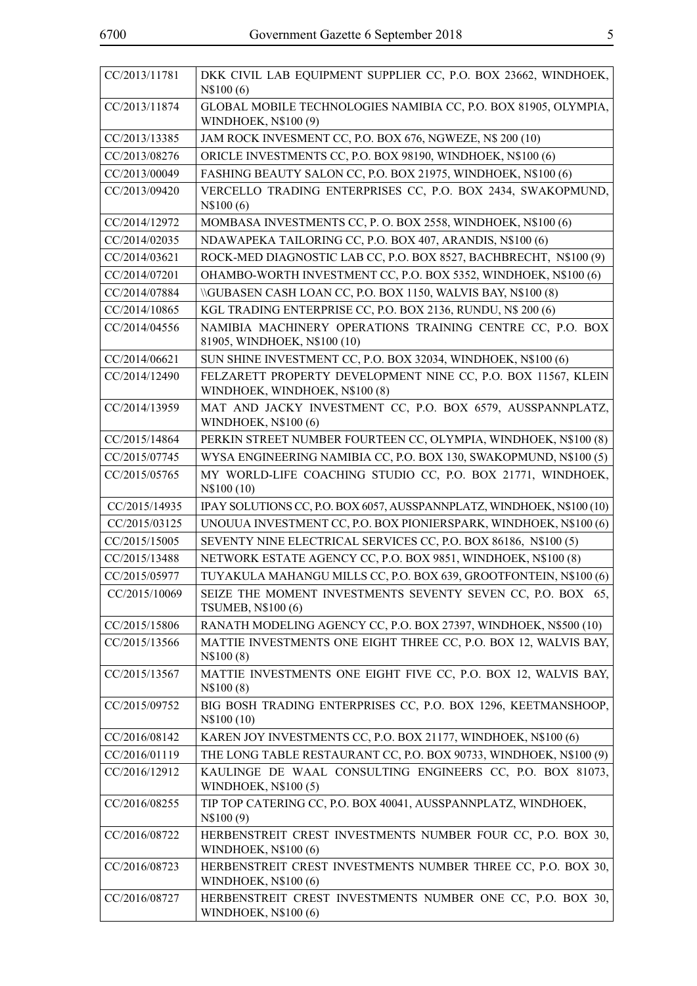| CC/2013/11781 | DKK CIVIL LAB EQUIPMENT SUPPLIER CC, P.O. BOX 23662, WINDHOEK,<br>N\\$100(6)                    |  |
|---------------|-------------------------------------------------------------------------------------------------|--|
| CC/2013/11874 | GLOBAL MOBILE TECHNOLOGIES NAMIBIA CC, P.O. BOX 81905, OLYMPIA,<br>WINDHOEK, N\$100 (9)         |  |
| CC/2013/13385 | JAM ROCK INVESMENT CC, P.O. BOX 676, NGWEZE, N\$ 200 (10)                                       |  |
| CC/2013/08276 | ORICLE INVESTMENTS CC, P.O. BOX 98190, WINDHOEK, N\$100 (6)                                     |  |
| CC/2013/00049 | FASHING BEAUTY SALON CC, P.O. BOX 21975, WINDHOEK, N\$100 (6)                                   |  |
| CC/2013/09420 | VERCELLO TRADING ENTERPRISES CC, P.O. BOX 2434, SWAKOPMUND,<br>N\$100(6)                        |  |
| CC/2014/12972 | MOMBASA INVESTMENTS CC, P. O. BOX 2558, WINDHOEK, N\$100 (6)                                    |  |
| CC/2014/02035 | NDAWAPEKA TAILORING CC, P.O. BOX 407, ARANDIS, N\$100 (6)                                       |  |
| CC/2014/03621 | ROCK-MED DIAGNOSTIC LAB CC, P.O. BOX 8527, BACHBRECHT, N\$100 (9)                               |  |
| CC/2014/07201 | OHAMBO-WORTH INVESTMENT CC, P.O. BOX 5352, WINDHOEK, N\$100 (6)                                 |  |
| CC/2014/07884 | \\GUBASEN CASH LOAN CC, P.O. BOX 1150, WALVIS BAY, N\$100 (8)                                   |  |
| CC/2014/10865 | KGL TRADING ENTERPRISE CC, P.O. BOX 2136, RUNDU, N\$ 200 (6)                                    |  |
| CC/2014/04556 | NAMIBIA MACHINERY OPERATIONS TRAINING CENTRE CC, P.O. BOX<br>81905, WINDHOEK, N\$100 (10)       |  |
| CC/2014/06621 | SUN SHINE INVESTMENT CC, P.O. BOX 32034, WINDHOEK, N\$100 (6)                                   |  |
| CC/2014/12490 | FELZARETT PROPERTY DEVELOPMENT NINE CC, P.O. BOX 11567, KLEIN<br>WINDHOEK, WINDHOEK, N\$100 (8) |  |
| CC/2014/13959 | MAT AND JACKY INVESTMENT CC, P.O. BOX 6579, AUSSPANNPLATZ,<br><b>WINDHOEK, N\$100 (6)</b>       |  |
| CC/2015/14864 | PERKIN STREET NUMBER FOURTEEN CC, OLYMPIA, WINDHOEK, N\$100 (8)                                 |  |
| CC/2015/07745 | WYSA ENGINEERING NAMIBIA CC, P.O. BOX 130, SWAKOPMUND, N\$100 (5)                               |  |
| CC/2015/05765 | MY WORLD-LIFE COACHING STUDIO CC, P.O. BOX 21771, WINDHOEK,<br>N\$100 (10)                      |  |
| CC/2015/14935 | IPAY SOLUTIONS CC, P.O. BOX 6057, AUSSPANNPLATZ, WINDHOEK, N\$100 (10)                          |  |
| CC/2015/03125 | UNOUUA INVESTMENT CC, P.O. BOX PIONIERSPARK, WINDHOEK, N\$100 (6)                               |  |
| CC/2015/15005 | SEVENTY NINE ELECTRICAL SERVICES CC, P.O. BOX 86186, N\$100 (5)                                 |  |
| CC/2015/13488 | NETWORK ESTATE AGENCY CC, P.O. BOX 9851, WINDHOEK, N\$100 (8)                                   |  |
| CC/2015/05977 | TUYAKULA MAHANGU MILLS CC, P.O. BOX 639, GROOTFONTEIN, N\$100 (6)                               |  |
| CC/2015/10069 | SEIZE THE MOMENT INVESTMENTS SEVENTY SEVEN CC, P.O. BOX 65,<br><b>TSUMEB, N\$100 (6)</b>        |  |
| CC/2015/15806 | RANATH MODELING AGENCY CC, P.O. BOX 27397, WINDHOEK, N\$500 (10)                                |  |
| CC/2015/13566 | MATTIE INVESTMENTS ONE EIGHT THREE CC, P.O. BOX 12, WALVIS BAY,<br>N\$100(8)                    |  |
| CC/2015/13567 | MATTIE INVESTMENTS ONE EIGHT FIVE CC, P.O. BOX 12, WALVIS BAY,<br>N\$100(8)                     |  |
| CC/2015/09752 | BIG BOSH TRADING ENTERPRISES CC, P.O. BOX 1296, KEETMANSHOOP,<br>N\\$100 (10)                   |  |
| CC/2016/08142 | KAREN JOY INVESTMENTS CC, P.O. BOX 21177, WINDHOEK, N\$100 (6)                                  |  |
| CC/2016/01119 | THE LONG TABLE RESTAURANT CC, P.O. BOX 90733, WINDHOEK, N\$100 (9)                              |  |
| CC/2016/12912 | KAULINGE DE WAAL CONSULTING ENGINEERS CC, P.O. BOX 81073,<br><b>WINDHOEK, N\$100(5)</b>         |  |
| CC/2016/08255 | TIP TOP CATERING CC, P.O. BOX 40041, AUSSPANNPLATZ, WINDHOEK,<br>N\\$100(9)                     |  |
| CC/2016/08722 | HERBENSTREIT CREST INVESTMENTS NUMBER FOUR CC, P.O. BOX 30,<br><b>WINDHOEK, N\$100 (6)</b>      |  |
| CC/2016/08723 | HERBENSTREIT CREST INVESTMENTS NUMBER THREE CC, P.O. BOX 30,<br><b>WINDHOEK, N\$100 (6)</b>     |  |
| CC/2016/08727 | HERBENSTREIT CREST INVESTMENTS NUMBER ONE CC, P.O. BOX 30,<br><b>WINDHOEK, N\$100 (6)</b>       |  |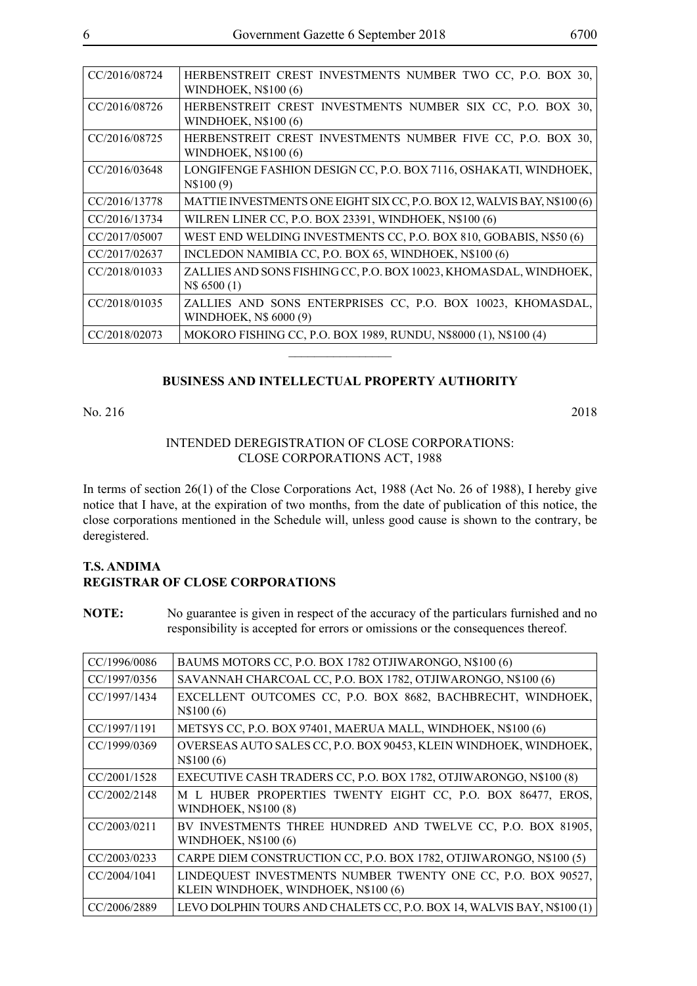| CC/2016/08724 | HERBENSTREIT CREST INVESTMENTS NUMBER TWO CC, P.O. BOX 30,<br>WINDHOEK, $N$100(6)$    |
|---------------|---------------------------------------------------------------------------------------|
| CC/2016/08726 | HERBENSTREIT CREST INVESTMENTS NUMBER SIX CC, P.O. BOX 30,<br>WINDHOEK, $N$100(6)$    |
| CC/2016/08725 | HERBENSTREIT CREST INVESTMENTS NUMBER FIVE CC, P.O. BOX 30,<br>WINDHOEK, $N$100(6)$   |
| CC/2016/03648 | LONGIFENGE FASHION DESIGN CC, P.O. BOX 7116, OSHAKATI, WINDHOEK,<br>N\\$100(9)        |
| CC/2016/13778 | MATTIE INVESTMENTS ONE EIGHT SIX CC, P.O. BOX 12, WALVIS BAY, N\$100 (6)              |
| CC/2016/13734 | WILREN LINER CC, P.O. BOX 23391, WINDHOEK, N\$100 (6)                                 |
| CC/2017/05007 | WEST END WELDING INVESTMENTS CC, P.O. BOX 810, GOBABIS, N\$50 (6)                     |
| CC/2017/02637 | INCLEDON NAMIBIA CC, P.O. BOX 65, WINDHOEK, N\$100 (6)                                |
| CC/2018/01033 | ZALLIES AND SONS FISHING CC, P.O. BOX 10023, KHOMASDAL, WINDHOEK,<br>N\\$ 6500 (1)    |
| CC/2018/01035 | ZALLIES AND SONS ENTERPRISES CC, P.O. BOX 10023, KHOMASDAL,<br>WINDHOEK, N\$ 6000 (9) |
|               |                                                                                       |
| CC/2018/02073 | MOKORO FISHING CC, P.O. BOX 1989, RUNDU, N\$8000 (1), N\$100 (4)                      |

## **BUSINESS AND INTELLECTUAL PROPERTY AUTHORITY**

No. 216 2018

## INTENDED DEREGISTRATION OF CLOSE CORPORATIONS: CLOSE CORPORATIONS ACT, 1988

In terms of section 26(1) of the Close Corporations Act, 1988 (Act No. 26 of 1988), I hereby give notice that I have, at the expiration of two months, from the date of publication of this notice, the close corporations mentioned in the Schedule will, unless good cause is shown to the contrary, be deregistered.

# **T.S. ANDIMA REGISTRAR OF CLOSE CORPORATIONS**

**NOTE:** No guarantee is given in respect of the accuracy of the particulars furnished and no responsibility is accepted for errors or omissions or the consequences thereof.

| CC/1996/0086 | BAUMS MOTORS CC, P.O. BOX 1782 OTJIWARONGO, N\$100 (6)                 |
|--------------|------------------------------------------------------------------------|
| CC/1997/0356 | SAVANNAH CHARCOAL CC, P.O. BOX 1782, OTJIWARONGO, N\$100 (6)           |
| CC/1997/1434 | EXCELLENT OUTCOMES CC, P.O. BOX 8682, BACHBRECHT, WINDHOEK,            |
|              | N\$100(6)                                                              |
| CC/1997/1191 | METSYS CC, P.O. BOX 97401, MAERUA MALL, WINDHOEK, N\$100 (6)           |
| CC/1999/0369 | OVERSEAS AUTO SALES CC, P.O. BOX 90453, KLEIN WINDHOEK, WINDHOEK,      |
|              | N\\$100(6)                                                             |
| CC/2001/1528 | EXECUTIVE CASH TRADERS CC, P.O. BOX 1782, OTJIWARONGO, N\$100 (8)      |
| CC/2002/2148 | M L HUBER PROPERTIES TWENTY EIGHT CC, P.O. BOX 86477, EROS,            |
|              | <b>WINDHOEK, N\$100 (8)</b>                                            |
| CC/2003/0211 | BV INVESTMENTS THREE HUNDRED AND TWELVE CC, P.O. BOX 81905,            |
|              | WINDHOEK, $N$100(6)$                                                   |
| CC/2003/0233 | CARPE DIEM CONSTRUCTION CC, P.O. BOX 1782, OTJIWARONGO, N\$100 (5)     |
| CC/2004/1041 | LINDEQUEST INVESTMENTS NUMBER TWENTY ONE CC, P.O. BOX 90527,           |
|              | KLEIN WINDHOEK, WINDHOEK, N\$100 (6)                                   |
| CC/2006/2889 | LEVO DOLPHIN TOURS AND CHALETS CC, P.O. BOX 14, WALVIS BAY, N\$100 (1) |